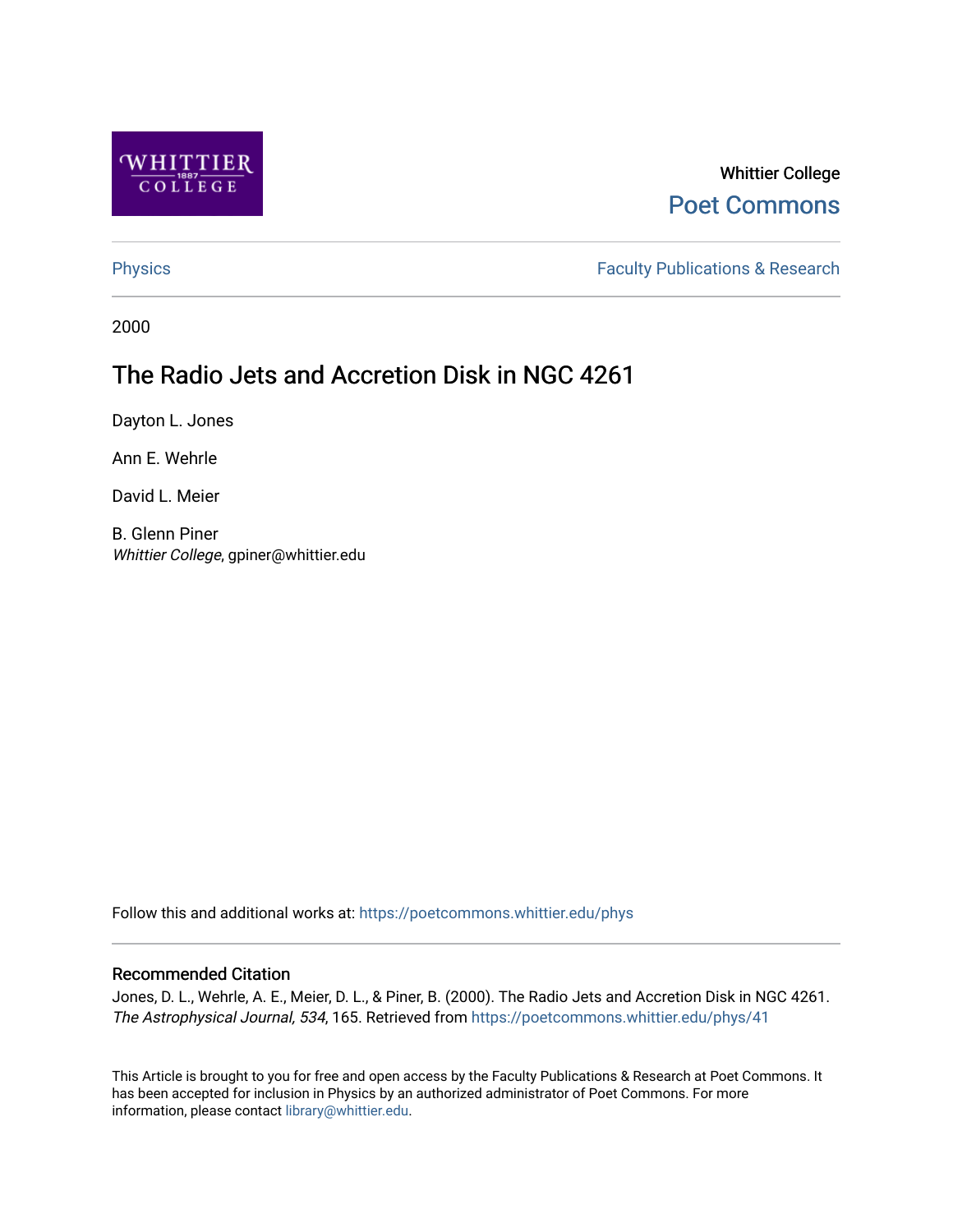

# Whittier College [Poet Commons](https://poetcommons.whittier.edu/)

[Physics](https://poetcommons.whittier.edu/phys) **Faculty Publications & Research Physics Faculty Publications & Research** 

2000

# The Radio Jets and Accretion Disk in NGC 4261

Dayton L. Jones

Ann E. Wehrle

David L. Meier

B. Glenn Piner Whittier College, gpiner@whittier.edu

Follow this and additional works at: [https://poetcommons.whittier.edu/phys](https://poetcommons.whittier.edu/phys?utm_source=poetcommons.whittier.edu%2Fphys%2F41&utm_medium=PDF&utm_campaign=PDFCoverPages)

# Recommended Citation

Jones, D. L., Wehrle, A. E., Meier, D. L., & Piner, B. (2000). The Radio Jets and Accretion Disk in NGC 4261. The Astrophysical Journal, 534, 165. Retrieved from [https://poetcommons.whittier.edu/phys/41](https://poetcommons.whittier.edu/phys/41?utm_source=poetcommons.whittier.edu%2Fphys%2F41&utm_medium=PDF&utm_campaign=PDFCoverPages) 

This Article is brought to you for free and open access by the Faculty Publications & Research at Poet Commons. It has been accepted for inclusion in Physics by an authorized administrator of Poet Commons. For more information, please contact [library@whittier.edu.](mailto:library@whittier.edu)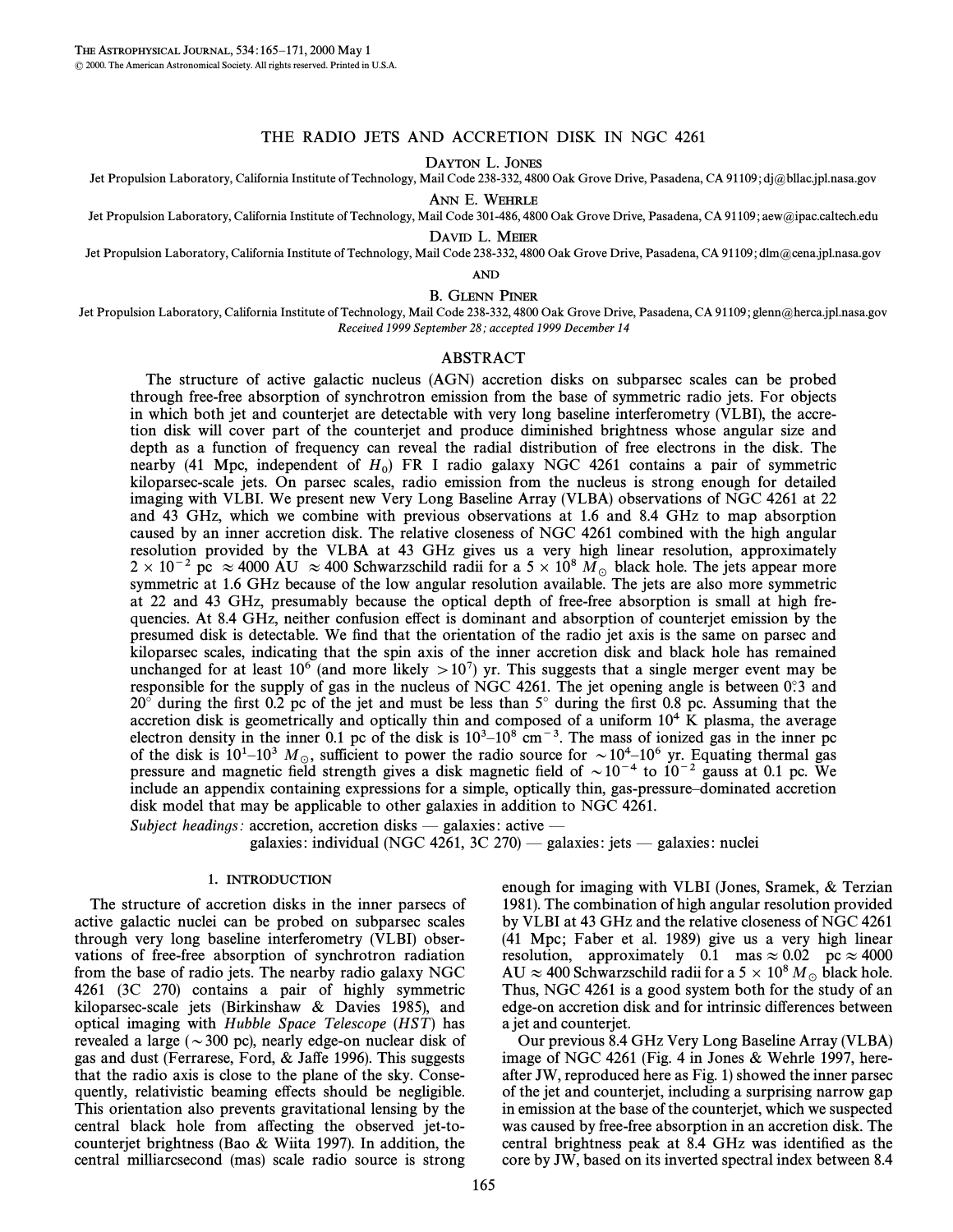### THE RADIO JETS AND ACCRETION DISK IN NGC 4261

DAYTON L. JONES

Jet Propulsion Laboratory, California Institute of Technology, Mail Code 238-332, 4800 Oak Grove Drive, Pasadena, CA 91109; dj@bllac.jpl.nasa.gov

ANN E. WEHRLE Jet Propulsion Laboratory, California Institute of Technology, Mail Code 301-486, 4800 Oak Grove Drive, Pasadena, CA 91109; aew@ipac.caltech.edu

DAVID L. MEIER

Jet Propulsion Laboratory, California Institute of Technology, Mail Code 238-332, 4800 Oak Grove Drive, Pasadena, CA 91109; dlm@cena.jpl.nasa.gov

AND

B. GLENN PINER

Jet Propulsion Laboratory, California Institute of Technology, Mail Code 238-332, 4800 Oak Grove Drive, Pasadena, CA 91109; glenn@herca.jpl.nasa.gov Received 1999 September 28; accepted 1999 December 14

#### ABSTRACT

The structure of active galactic nucleus (AGN) accretion disks on subparsec scales can be probed through free-free absorption of synchrotron emission from the base of symmetric radio jets. For objects in which both jet and counterjet are detectable with very long baseline interferometry (VLBI), the accretion disk will cover part of the counterjet and produce diminished brightness whose angular size and depth as a function of frequency can reveal the radial distribution of free electrons in the disk. The nearby (41 Mpc, independent of  $H_0$ ) FR I radio galaxy NGC 4261 contains a pair of symmetric higher properties  $\Omega$  and  $\Omega$  and  $\Omega$  and  $\Omega$  and  $\Omega$  and  $\Omega$  and  $\Omega$  and  $\Omega$  and  $\Omega$  and  $\Omega$  and  $\Omega$  and  $\Omega$  and kiloparsec-scale jets. On parsec scales, radio emission from the nucleus is strong enough for detailed imaging with VLBI. We present new Very Long Baseline Array (VLBA) observations of NGC 4261 at 22 and 43 GHz, which we combine with previous observations at 1.6 and 8.4 GHz to map absorption caused by an inner accretion disk. The relative closeness of NGC 4261 combined with the high angular resolution provided by the VLBA at 43 GHz gives us a very high linear resolution, approximately  $2 \times 10^{-2}$  pc  $\approx 4000$  AU  $\approx 400$  Schwarzschild radii for a  $5 \times 10^8$  M<sub>o</sub> black hole. The jets appear more symmetric at 1.6 GHz because of the low angular resolution available. The jets are also more symmetric at 22 and 43 GHz, presumably because the optical depth of free-free absorption is small at high frequencies. At 8.4 GHz, neither confusion effect is dominant and absorption of counterjet emission by the presumed disk is detectable. We Ðnd that the orientation of the radio jet axis is the same on parsec and kiloparsec scales, indicating that the spin axis of the inner accretion disk and black hole has remained unchanged for at least 10<sup>6</sup> (and more likely  $> 10^7$ ) yr. This suggests that a single merger event may be responsible for the supply of gas in the nucleus of NGC 4261. The jet opening angle is between  $0°3$  and  $20^\circ$  during the first 0.2 pc of the jet and must be less than 5 $^\circ$  during the first 0.8 pc. Assuming that the accretion disk is geometrically and optically thin and composed of a uniform  $10<sup>4</sup>$  K plasma, the average electron density in the inner 0.1 pc of the disk is  $10^3-10^8$  cm<sup>-3</sup>. The mass of ionized gas in the inner pc of the disk is  $10^1-10^3$   $M_\odot$ , sufficient to power the radio source for  $\sim 10^4-10^6$  yr. Equating thermal gas pressure and magnetic field strength gives a disk magnetic field of  $\sim 10^{-4}$  to  $10^{-2}$  gauss at 0.1 pc include an appendix containing expressions for a simple, optically thin, gas-pressure-dominated accretion disk model that may be applicable to other galaxies in addition to NGC 4261.

Subject headings: accretion, accretion disks — galaxies: active —

galaxies: individual (NGC 4261, 3C 270) — galaxies: jets — galaxies: nuclei

#### 1. INTRODUCTION

The structure of accretion disks in the inner parsecs of active galactic nuclei can be probed on subparsec scales through very long baseline interferometry (VLBI) observations of free-free absorption of synchrotron radiation from the base of radio jets. The nearby radio galaxy NGC 4261 (3C 270) contains a pair of highly symmetric kiloparsec-scale jets (Birkinshaw & Davies 1985), and optical imaging with Hubble Space Telescope (HST) has revealed a large ( $\sim$  300 pc), nearly edge-on nuclear disk of gas and dust (Ferrarese, Ford,  $&$  Jaffe 1996). This suggests that the radio axis is close to the plane of the sky. Consequently, relativistic beaming effects should be negligible. This orientation also prevents gravitational lensing by the central black hole from affecting the observed jet-tocounterjet brightness (Bao & Wiita 1997). In addition, the central milliarcsecond (mas) scale radio source is strong enough for imaging with VLBI (Jones, Sramek, & Terzian 1981). The combination of high angular resolution provided by VLBI at 43 GHz and the relative closeness of NGC 4261 (41 Mpc; Faber et al. 1989) give us a very high linear resolution, approximately 0.1 mas  $\approx 0.02$  pc  $\approx 4000$ AU  $\approx$  400 Schwarzschild radii for a 5  $\times$  10<sup>8</sup> M<sub>\o</sub> black hole. Thus, NGC 4261 is a good system both for the study of an edge-on accretion disk and for intrinsic di†erences between a jet and counterjet.

Our previous 8.4 GHz Very Long Baseline Array (VLBA) image of NGC 4261 (Fig. 4 in Jones & Wehrle 1997, hereafter JW, reproduced here as Fig. 1) showed the inner parsec of the jet and counterjet, including a surprising narrow gap in emission at the base of the counterjet, which we suspected was caused by free-free absorption in an accretion disk. The central brightness peak at 8.4 GHz was identified as the core by JW, based on its inverted spectral index between 8.4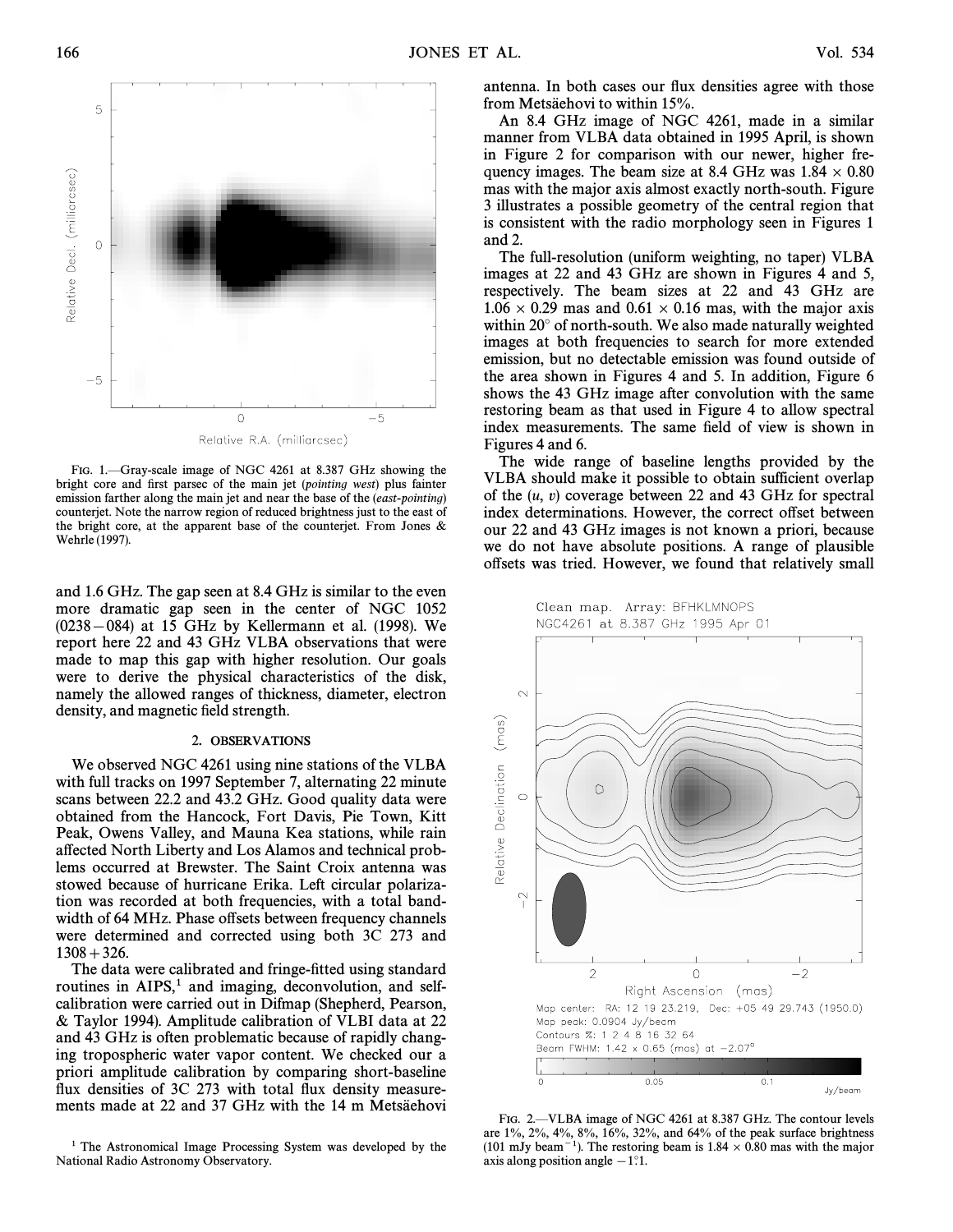

FIG. 1. Gray-scale image of NGC 4261 at 8.387 GHz showing the bright core and first parsec of the main jet (pointing west) plus fainter emission farther along the main jet and near the base of the *(east-pointing)* counterjet. Note the narrow region of reduced brightness just to the east of the bright core, at the apparent base of the counterjet. From Jones  $\&$ Wehrle (1997).

and 1.6 GHz. The gap seen at 8.4 GHz is similar to the even more dramatic gap seen in the center of NGC 1052  $(0238-084)$  at 15 GHz by Kellermann et al. (1998). We report here 22 and 43 GHz VLBA observations that were made to map this gap with higher resolution. Our goals were to derive the physical characteristics of the disk, namely the allowed ranges of thickness, diameter, electron density, and magnetic field strength.

#### 2. OBSERVATIONS

We observed NGC 4261 using nine stations of the VLBA with full tracks on 1997 September 7, alternating 22 minute scans between 22.2 and 43.2 GHz. Good quality data were obtained from the Hancock, Fort Davis, Pie Town, Kitt Peak, Owens Valley, and Mauna Kea stations, while rain a†ected North Liberty and Los Alamos and technical problems occurred at Brewster. The Saint Croix antenna was stowed because of hurricane Erika. Left circular polarization was recorded at both frequencies, with a total bandwidth of 64 MHz. Phase offsets between frequency channels were determined and corrected using both 3C 273 and  $1308+326.$ 

The data were calibrated and fringe-fitted using standard routines in AIPS,<sup>1</sup> and imaging, deconvolution, and selfcalibration were carried out in Difmap (Shepherd, Pearson, & Taylor 1994). Amplitude calibration of VLBI data at 22 and 43 GHz is often problematic because of rapidly changing tropospheric water vapor content. We checked our a priori amplitude calibration by comparing short-baseline flux densities of 3C 273 with total flux density measurements made at 22 and 37 GHz with the 14 m Metsäehovi

<sup>1</sup> The Astronomical Image Processing System was developed by the National Radio Astronomy Observatory.

antenna. In both cases our flux densities agree with those from Metsäehovi to within 15%.

An 8.4 GHz image of NGC 4261, made in a similar manner from VLBA data obtained in 1995 April, is shown in Figure 2 for comparison with our newer, higher frequency images. The beam size at 8.4 GHz was  $1.84 \times 0.80$ mas with the major axis almost exactly north-south. Figure 3 illustrates a possible geometry of the central region that is consistent with the radio morphology seen in Figures 1 and 2.

The full-resolution (uniform weighting, no taper) VLBA images at 22 and 43 GHz are shown in Figures 4 and 5, respectively. The beam sizes at 22 and 43 GHz are  $1.06 \times 0.29$  mas and  $0.61 \times 0.16$  mas, with the major axis within 20° of north-south. We also made naturally weighted images at both frequencies to search for more extended emission, but no detectable emission was found outside of the area shown in Figures 4 and 5. In addition, Figure 6 shows the 43 GHz image after convolution with the same restoring beam as that used in Figure 4 to allow spectral index measurements. The same field of view is shown in Figures 4 and 6.

The wide range of baseline lengths provided by the VLBA should make it possible to obtain sufficient overlap of the  $(u, v)$  coverage between 22 and 43 GHz for spectral index determinations. However, the correct offset between our 22 and 43 GHz images is not known a priori, because we do not have absolute positions. A range of plausible offsets was tried. However, we found that relatively small

Clean map. Array: BFHKLMNOPS NGC4261 at 8.387 GHz 1995 Apr 01



FIG. 2. VLBA image of NGC 4261 at 8.387 GHz. The contour levels are  $1\%, 2\%, 4\%, 8\%, 16\%, 32\%, \text{ and } 64\%$  of the peak surface brightness (101 mJy beam<sup>-1</sup>). The restoring beam is 1.84  $\times$  0.80 mas with the major axis along position angle  $-1$ °.1.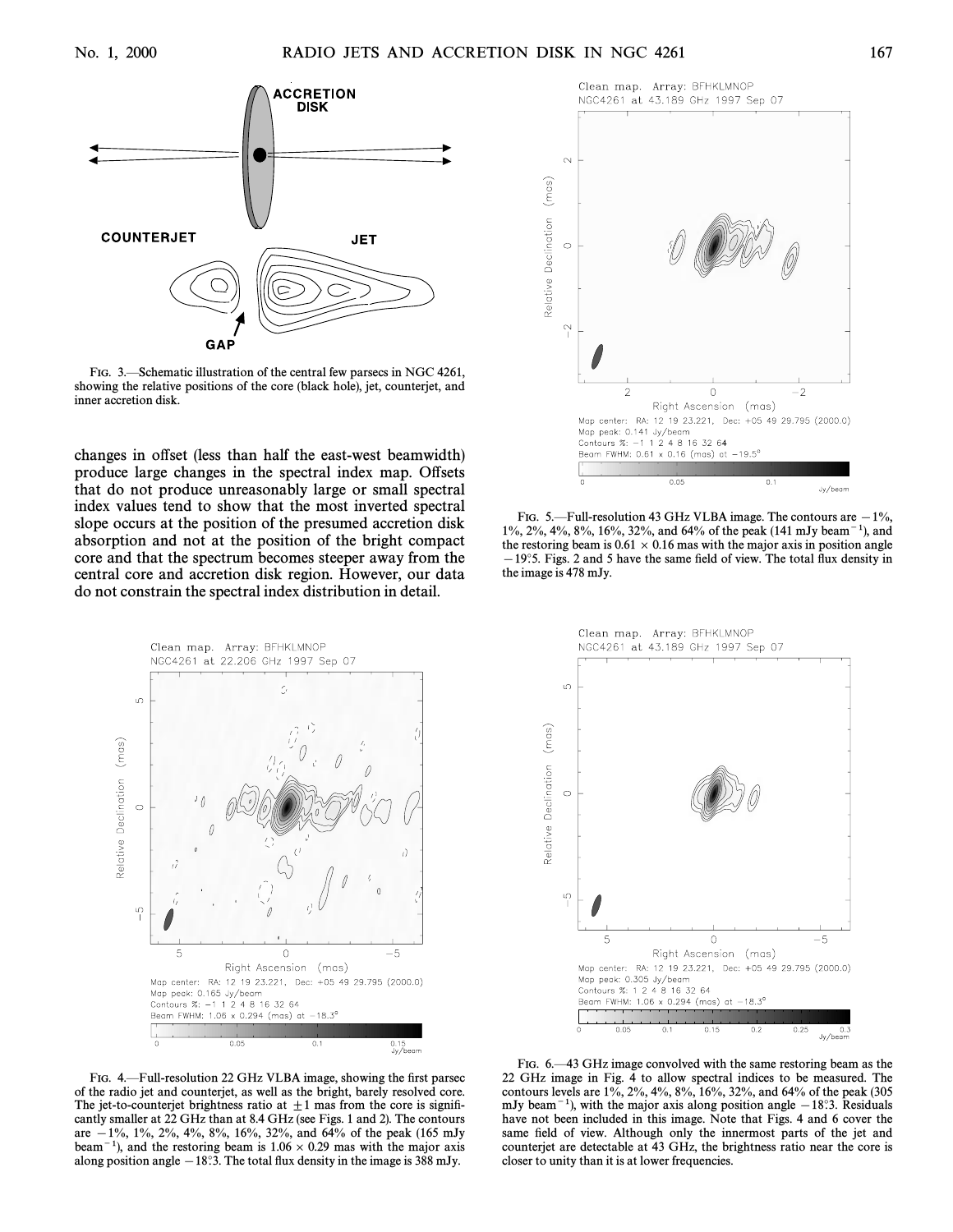

FIG. 3.—Schematic illustration of the central few parsecs in NGC 4261, showing the relative positions of the core (black hole), jet, counterjet, and inner accretion disk.

changes in offset (less than half the east-west beamwidth) produce large changes in the spectral index map. Offsets that do not produce unreasonably large or small spectral index values tend to show that the most inverted spectral slope occurs at the position of the presumed accretion disk absorption and not at the position of the bright compact core and that the spectrum becomes steeper away from the central core and accretion disk region. However, our data do not constrain the spectral index distribution in detail.



FIG. 4. Full-resolution 22 GHz VLBA image, showing the first parsec of the radio jet and counterjet, as well as the bright, barely resolved core. The jet-to-counterjet brightness ratio at  $\pm 1$  mas from the core is significantly smaller at 22 GHz than at 8.4 GHz (see Figs. 1 and 2). The contours are  $-1\%$ , 1%, 2%, 4%, 8%, 16%, 32%, and 64% of the peak (165 mJy beam<sup> $-1$ </sup>), and the restoring beam is 1.06  $\times$  0.29 mas with the major axis along position angle  $-18^\circ$ 3. The total flux density in the image is 388 mJy.



FIG. 5.—Full-resolution 43 GHz VLBA image. The contours are  $-1\%$ , 1%, 2%, 4%, 8%, 16%, 32%, and 64% of the peak (141 mJy beam<sup>-1</sup>), and the restoring beam is  $0.61 \times 0.16$  mas with the major axis in position angle  $-19°5$ . Figs. 2 and 5 have the same field of view. The total flux density in the image is 478 mJy.



FIG. 6—43 GHz image convolved with the same restoring beam as the 22 GHz image in Fig. 4 to allow spectral indices to be measured. The contours levels are 1%, 2%, 4%, 8%, 16%, 32%, and 64% of the peak (305 mJy beam<sup> $-1$ </sup>), with the major axis along position angle  $-18°.3$ . Residuals have not been included in this image. Note that Figs. 4 and 6 cover the same field of view. Although only the innermost parts of the jet and counterjet are detectable at 43 GHz, the brightness ratio near the core is closer to unity than it is at lower frequencies.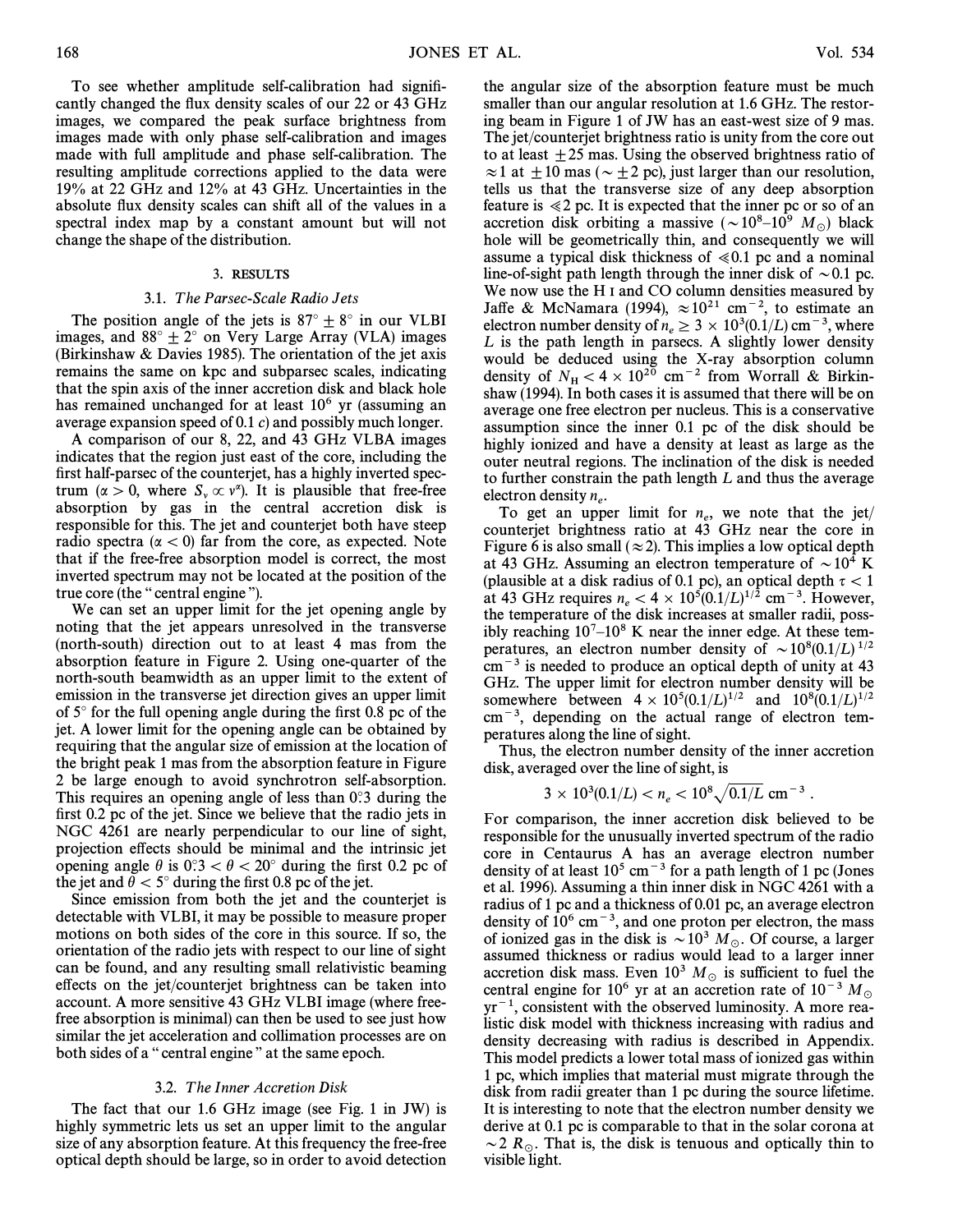To see whether amplitude self-calibration had significantly changed the flux density scales of our 22 or 43 GHz images, we compared the peak surface brightness from images made with only phase self-calibration and images made with full amplitude and phase self-calibration. The resulting amplitude corrections applied to the data were 19% at 22 GHz and 12% at 43 GHz. Uncertainties in the absolute flux density scales can shift all of the values in a spectral index map by a constant amount but will not change the shape of the distribution.

#### 3. RESULTS

#### 3.1. The Parsec-Scale Radio Jets

The position angle of the jets is  $87^\circ \pm 8^\circ$  in our VLBI images, and  $88^\circ \pm 2^\circ$  on Very Large Array (VLA) images (Birkinshaw & Davies 1985). The orientation of the jet axis remains the same on kpc and subparsec scales, indicating that the spin axis of the inner accretion disk and black hole has remained unchanged for at least  $10<sup>6</sup>$  yr (assuming an average expansion speed of 0.1 c) and possibly much longer.

A comparison of our 8, 22, and 43 GHz VLBA images indicates that the region just east of the core, including the first half-parsec of the counterjet, has a highly inverted spectrum ( $\alpha > 0$ , where  $S_{\nu} \propto \nu^{\alpha}$ ). It is plausible that free-free absorption by gas in the central accretion disk is responsible for this. The jet and counterjet both have steep radio spectra ( $\alpha$  < 0) far from the core, as expected. Note that if the free-free absorption model is correct, the most inverted spectrum may not be located at the position of the true core (the "central engine").

We can set an upper limit for the jet opening angle by noting that the jet appears unresolved in the transverse (north-south) direction out to at least 4 mas from the absorption feature in Figure 2. Using one-quarter of the north-south beamwidth as an upper limit to the extent of emission in the transverse jet direction gives an upper limit of  $5^\circ$  for the full opening angle during the first 0.8 pc of the jet. A lower limit for the opening angle can be obtained by requiring that the angular size of emission at the location of the bright peak 1 mas from the absorption feature in Figure 2 be large enough to avoid synchrotron self-absorption. This requires an opening angle of less than  $0^\circ$ .3 during the first 0.2 pc of the jet. Since we believe that the radio jets in NGC 4261 are nearly perpendicular to our line of sight, projection effects should be minimal and the intrinsic jet opening angle  $\theta$  is  $0.3 < \theta < 20^{\circ}$  during the first 0.2 pc of the jet and  $\theta < 5^\circ$  during the first 0.8 pc of the jet.

Since emission from both the jet and the counterjet is detectable with VLBI, it may be possible to measure proper motions on both sides of the core in this source. If so, the orientation of the radio jets with respect to our line of sight can be found, and any resulting small relativistic beaming effects on the jet/counterjet brightness can be taken into account. A more sensitive 43 GHz VLBI image (where freefree absorption is minimal) can then be used to see just how similar the jet acceleration and collimation processes are on both sides of a "central engine" at the same epoch.

### 3.2. The Inner Accretion Disk

The fact that our 1.6 GHz image (see Fig. 1 in JW) is highly symmetric lets us set an upper limit to the angular size of any absorption feature. At this frequency the free-free optical depth should be large, so in order to avoid detection the angular size of the absorption feature must be much smaller than our angular resolution at 1.6 GHz. The restoring beam in Figure 1 of JW has an east-west size of 9 mas. The jet/counterjet brightness ratio is unity from the core out to at least  $\pm 25$  mas. Using the observed brightness ratio of  $\approx$  1 at  $\pm$  10 mas ( $\sim$   $\pm$  2 pc), just larger than our resolution, tells us that the transverse size of any deep absorption feature is  $\ll 2$  pc. It is expected that the inner pc or so of an accretion disk orbiting a massive ( $\sim 10^8-10^9$  M<sub>o</sub>) black hole will be geometrically thin, and consequently we will assume a typical disk thickness of  $\ll 0.1$  pc and a nominal line-of-sight path length through the inner disk of  $\sim 0.1$  pc. We now use the H I and CO column densities measured by Jaffe & McNamara (1994),  $\approx 10^{21}$  cm<sup>-2</sup>, to estimate an electron number density of  $n_e \ge 3 \times 10^3(0.1/L)$  cm<sup>-3</sup>, where  $l$  is the nath length in parcecs. A slightly lower density  $L$  is the path length in parsecs. A slightly lower density would be deduced using the X-ray absorption column density of  $N_H < 4 \times 10^{20}$  cm<sup>-2</sup> from Worrall & Birkin-<br>shaw (1994). In both cases it is assumed that there will be on shaw (1994). In both cases it is assumed that there will be on average one free electron per nucleus. This is a conservative assumption since the inner 0.1 pc of the disk should be highly ionized and have a density at least as large as the outer neutral regions. The inclination of the disk is needed to further constrain the path length L and thus the average electron density  $n_e$ .

To get an upper limit for  $n_e$ , we note that the jet/ counterjet brightness ratio at  $43$  GHz near the core in Figure 6 is also small ( $\approx$  2). This implies a low optical depth at 43 GHz. Assuming an electron temperature of  $\sim 10^4$  K (plausible at a disk radius of 0.1 pc), an optical depth  $\tau < 1$ at 43 GHz requires  $n_e < 4 \times 10^5 (0.1/L)^{1/2}$  cm<sup>-3</sup>. However, the temperature of the disk increases at smaller radii nossthe temperature of the disk increases at smaller radii, possibly reaching  $10<sup>7</sup>–10<sup>8</sup>$  K near the inner edge. At these temperatures, an electron number density of  $\sim 10^8(0.1/L)^{1/2}$  $cm^{-3}$  is needed to produce an optical depth of unity at 43 GHz. The upper limit for electron number density will be somewhere between  $4 \times 10^5(0.1/L)^{1/2}$  and  $10^8(0.1/L)^{1/2}$  $cm^{-3}$ , depending on the actual range of electron temperatures along the line of sight.

Thus, the electron number density of the inner accretion disk, averaged over the line of sight, is

$$
3 \times 10^3 (0.1/L) < n_e < 10^8 \sqrt{0.1/L} \, \text{cm}^{-3} \, .
$$

For comparison, the inner accretion disk believed to be responsible for the unusually inverted spectrum of the radio core in Centaurus A has an average electron number density of at least  $10^5$  cm<sup> $-3$ </sup> for a path length of 1 pc (Jones et al. 1996). Assuming a thin inner disk in NGC 4261 with a radius of 1 pc and a thickness of 0.01 pc, an average electron density of  $10^6$  cm<sup>-3</sup>, and one proton per electron, the mass of ionized gas in the disk is  $\sim 10^3$  M<sub>o</sub>. Of course, a larger assumed thickness or radius would lead to a larger inner accretion disk mass. Even  $10^3$   $M_{\odot}$  is sufficient to fuel the central engine for 10<sup>6</sup> yr at an accretion rate of 10<sup>-3</sup> M<sub>o</sub>  $yr^{-1}$ , consistent with the observed luminosity. A more realistic disk model with thickness increasing with radius and density decreasing with radius is described in Appendix. This model predicts a lower total mass of ionized gas within 1 pc, which implies that material must migrate through the disk from radii greater than 1 pc during the source lifetime. It is interesting to note that the electron number density we derive at 0.1 pc is comparable to that in the solar corona at  $\sim$  2 R<sub>.</sub>. That is, the disk is tenuous and optically thin to visible light.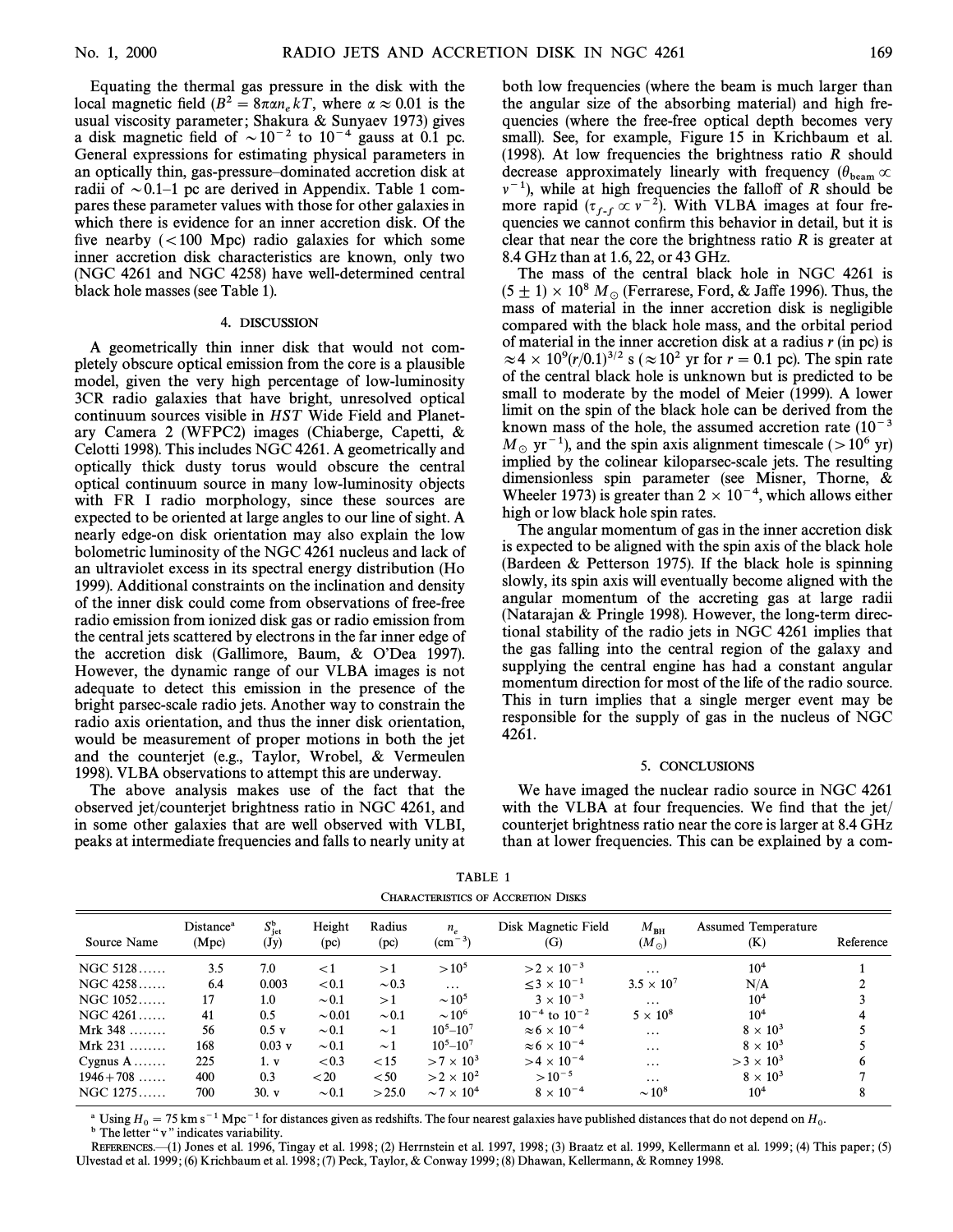Equating the thermal gas pressure in the disk with the local magnetic field  $(B^2 = 8\pi\alpha n_e kT)$ , where  $\alpha \approx 0.01$  is the usual viscosity parameter: Shakura & Sunyaay 1973) gives usual viscosity parameter; Shakura & Sunyaev 1973) gives a disk magnetic field of  $\sim 10^{-2}$  to  $10^{-4}$  gauss at 0.1 pc. General expressions for estimating physical parameters in an optically thin, gas-pressure-dominated accretion disk at radii of  $\sim$  0.1–1 pc are derived in Appendix. Table 1 compares these parameter values with those for other galaxies in which there is evidence for an inner accretion disk. Of the five nearby  $(< 100$  Mpc) radio galaxies for which some inner accretion disk characteristics are known, only two (NGC 4261 and NGC 4258) have well-determined central black hole masses (see Table 1).

#### 4. DISCUSSION

A geometrically thin inner disk that would not completely obscure optical emission from the core is a plausible model, given the very high percentage of low-luminosity 3CR radio galaxies that have bright, unresolved optical continuum sources visible in HST Wide Field and Planetary Camera 2 (WFPC2) images (Chiaberge, Capetti, & Celotti 1998). This includes NGC 4261. A geometrically and optically thick dusty torus would obscure the central optical continuum source in many low-luminosity objects with FR I radio morphology, since these sources are expected to be oriented at large angles to our line of sight. A nearly edge-on disk orientation may also explain the low bolometric luminosity of the NGC 4261 nucleus and lack of an ultraviolet excess in its spectral energy distribution (Ho 1999). Additional constraints on the inclination and density of the inner disk could come from observations of free-free radio emission from ionized disk gas or radio emission from the central jets scattered by electrons in the far inner edge of the accretion disk (Gallimore, Baum,  $& O'Dea$  1997). However, the dynamic range of our VLBA images is not adequate to detect this emission in the presence of the bright parsec-scale radio jets. Another way to constrain the radio axis orientation, and thus the inner disk orientation, would be measurement of proper motions in both the jet and the counterjet (e.g., Taylor, Wrobel, & Vermeulen 1998). VLBA observations to attempt this are underway.

The above analysis makes use of the fact that the observed jet/counterjet brightness ratio in NGC 4261, and in some other galaxies that are well observed with VLBI, peaks at intermediate frequencies and falls to nearly unity at

both low frequencies (where the beam is much larger than the angular size of the absorbing material) and high frequencies (where the free-free optical depth becomes very small). See, for example, Figure 15 in Krichbaum et al. (1998). At low frequencies the brightness ratio  *should* decrease approximately linearly with frequency  $(\theta_{\text{beam}} \propto$ <br> $w^{-1}$ ), while at high frequencies the folloff of *B* should be  $\nu^{-1}$ ), while at high frequencies the falloff of R should be more rapid  $(\tau_{f-f} \propto v^{-2})$ . With VLBA images at four fre-<br>quencies we cannot confirm this behavior in detail, but it is quencies we cannot confirm this behavior in detail, but it is clear that near the core the brightness ratio  $R$  is greater at 8.4 GHz than at 1.6, 22, or 43 GHz.

The mass of the central black hole in NGC 4261 is  $(5\pm 1)\times 10^8$  M<sub>\o (F</sub>errarese, Ford, & Jaffe 1996). Thus, the mass of material in the inner accretion disk is negligible compared with the black hole mass, and the orbital period of material in the inner accretion disk at a radius  $r$  (in pc) is  $\approx$  4  $\times$  10<sup>9</sup>(r/0.1)<sup>3/2</sup> s ( $\approx$  10<sup>2</sup> yr for r = 0.1 pc). The spin rate of the central black hole is unknown but is predicted to be small to moderate by the model of Meier (1999). A lower limit on the spin of the black hole can be derived from the known mass of the hole, the assumed accretion rate  $(10^{-3})$  $M_{\odot}$  yr<sup>-1</sup>), and the spin axis alignment timescale ( $>10^6$  yr) implied by the colinear kiloparsec-scale jets. The resulting dimensionless spin parameter (see Misner, Thorne, & Wheeler 1973) is greater than  $2 \times 10^{-4}$ , which allows either high or low black hole spin rates.

The angular momentum of gas in the inner accretion disk is expected to be aligned with the spin axis of the black hole (Bardeen & Petterson 1975). If the black hole is spinning slowly, its spin axis will eventually become aligned with the angular momentum of the accreting gas at large radii (Natarajan & Pringle 1998). However, the long-term directional stability of the radio jets in NGC 4261 implies that the gas falling into the central region of the galaxy and supplying the central engine has had a constant angular momentum direction for most of the life of the radio source. This in turn implies that a single merger event may be responsible for the supply of gas in the nucleus of NGC 4261.

#### 5. CONCLUSIONS

We have imaged the nuclear radio source in NGC 4261 with the VLBA at four frequencies. We find that the jet/ counterjet brightness ratio near the core is larger at 8.4 GHz than at lower frequencies. This can be explained by a com-

| CHARACTERISHUS OF ACCRETION DISKS |                                |                                                   |                |                |                                   |                                 |                               |                                   |           |
|-----------------------------------|--------------------------------|---------------------------------------------------|----------------|----------------|-----------------------------------|---------------------------------|-------------------------------|-----------------------------------|-----------|
| Source Name                       | Distance <sup>a</sup><br>(Mpc) | $S_{\rm jet}^{\rm b}$<br>$(\mathbf{J}\mathbf{y})$ | Height<br>(pc) | Radius<br>(pc) | $n_{\circ}$<br>$\rm (cm^{-3})$    | Disk Magnetic Field<br>(G)      | $M_{\rm BH}$<br>$(M_{\odot})$ | <b>Assumed Temperature</b><br>(K) | Reference |
| $NGC 5128$                        | 3.5                            | 7.0                                               | ${<}1$         | >1             | $>10^{5}$                         | $>2\times 10^{-3}$              | $\cdots$                      | $10^{4}$                          |           |
| $NGC 4258$                        | 6.4                            | 0.003                                             | < 0.1          | $\sim 0.3$     | $\cdots$                          | $<$ 3 $\times$ 10 <sup>-1</sup> | $3.5 \times 10^{7}$           | N/A                               |           |
| $NGC 1052$                        | 17                             | 1.0                                               | $\sim 0.1$     | >1             | $\sim$ 10 <sup>5</sup>            | $3 \times 10^{-3}$              | $\cdots$                      | 10 <sup>4</sup>                   |           |
| $NGC 4261$                        | 41                             | 0.5                                               | $\sim 0.01$    | $\sim 0.1$     | $\sim$ 10 <sup>6</sup>            | $10^{-4}$ to $10^{-2}$          | $5 \times 10^8$               | 10 <sup>4</sup>                   |           |
| Mrk $348$                         | 56                             | $0.5$ v                                           | $\sim 0.1$     | $\sim$ 1       | $10^5 - 10^7$                     | $\approx 6 \times 10^{-4}$      | $\cdots$                      | $8 \times 10^3$                   |           |
| Mrk $231$                         | 168                            | $0.03$ v                                          | $\sim 0.1$     | $\sim$ 1       | $10^5 - 10^7$                     | $\approx 6 \times 10^{-4}$      | $\cdots$                      | $8 \times 10^3$                   |           |
| Cygnus $A$                        | 225                            | 1. v                                              | < 0.3          | < 15           | $>7\times10^3$                    | $>4\times10^{-4}$               | $\cdots$                      | $>$ 3 $\times$ 10 <sup>3</sup>    | 6         |
| $1946 + 708$                      | 400                            | 0.3                                               | < 20           | < 50           | $>2\times10^2$                    | $>10^{-5}$                      | $\cdots$                      | $8 \times 10^3$                   |           |
| $NGC 1275$                        | 700                            | 30. v                                             | $\sim 0.1$     | >25.0          | $\sim$ 7 $\times$ 10 <sup>4</sup> | $8 \times 10^{-4}$              | $\sim 10^8$                   | $10^{4}$                          | 8         |

TABLE 1 CHARACTERISTICS OF ACCRETION DISKS

<sup>a</sup> Using  $H_0 = 75$  km s<sup>-1</sup> Mpc<sup>-1</sup> for distances given as redshifts. The four nearest galaxies have published distances that do not depend on  $H_0$ . <sup>b</sup> The letter " v" indicates variability.

REFERENCES.—(1) Jones et al. 1996, Tingay et al. 1998; (2) Herrnstein et al. 1997, 1998; (3) Braatz et al. 1999, Kellermann et al. 1999; (4) This paper; (5) Ulvestad et al. 1999 ; (6) Krichbaum et al. 1998 ; (7) Peck, Taylor, & Conway 1999 ; (8) Dhawan, Kellermann, & Romney 1998.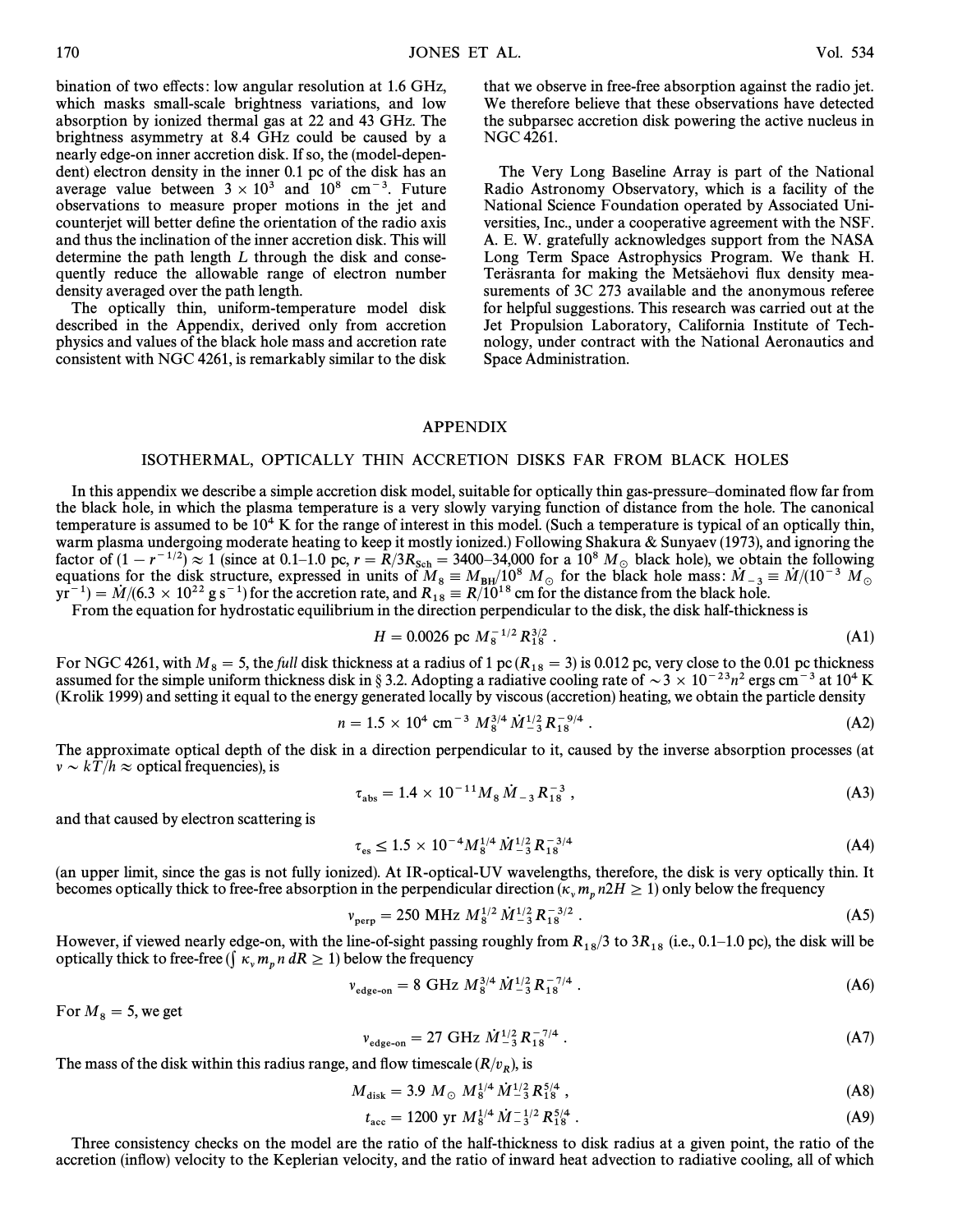bination of two effects: low angular resolution at 1.6 GHz, which masks small-scale brightness variations, and low absorption by ionized thermal gas at 22 and 43 GHz. The brightness asymmetry at 8.4 GHz could be caused by a nearly edge-on inner accretion disk. If so, the (model-dependent) electron density in the inner 0.1 pc of the disk has an average value between  $3 \times 10^3$  and  $10^8$  cm<sup>-3</sup>. Future observations to measure proper motions in the jet and counterjet will better define the orientation of the radio axis and thus the inclination of the inner accretion disk. This will determine the path length  $L$  through the disk and consequently reduce the allowable range of electron number density averaged over the path length.

The optically thin, uniform-temperature model disk described in the Appendix, derived only from accretion physics and values of the black hole mass and accretion rate consistent with NGC 4261, is remarkably similar to the disk that we observe in free-free absorption against the radio jet. We therefore believe that these observations have detected the subparsec accretion disk powering the active nucleus in NGC 4261.

The Very Long Baseline Array is part of the National Radio Astronomy Observatory, which is a facility of the National Science Foundation operated by Associated Universities, Inc., under a cooperative agreement with the NSF. A. E. W. gratefully acknowledges support from the NASA Long Term Space Astrophysics Program. We thank H. Teräsranta for making the Metsäehovi flux density measurements of 3C 273 available and the anonymous referee for helpful suggestions. This research was carried out at the Jet Propulsion Laboratory, California Institute of Technology, under contract with the National Aeronautics and Space Administration.

#### APPENDIX

## ISOTHERMAL, OPTICALLY THIN ACCRETION DISKS FAR FROM BLACK HOLES

In this appendix we describe a simple accretion disk model, suitable for optically thin gas-pressure-dominated flow far from the black hole, in which the plasma temperature is a very slowly varying function of distance from the hole. The canonical temperature is assumed to be  $10<sup>4</sup>$  K for the range of interest in this model. (Such a temperature is typical of an optically thin, warm plasma undergoing moderate heating to keep it mostly ionized.) Following Shakura & Sunyaev (1973), and ignoring the factor of  $(1 - r^{-1/2}) \approx 1$  (since at 0.1–1.0 pc,  $r = R/3R_{\rm Sch} = 3400-34,000$  for a  $10^8$   $M_{\odot}$  black hole), we obtain the following school of the hole is the following School of the single securities for the disk struct equations for the disk structure, expressed in units of  $M_8 = M_{BH}/10^8$  M<sub>o</sub> for the black hole mass:  $\dot{M}_{-3} = \dot{M}/(10^{-3}$  M<sub>o</sub> wr<sup>-1</sup>) –  $\dot{M}/(6.3 \times 10^{22} \text{ g s}^{-1})$  for the accretion rate and  $R_0 = R/10^{18}$  cm for the  $yr^{-1}$ ) =  $\dot{M}/(6.3 \times 10^{22} \text{ g s}^{-1})$  for the accretion rate, and  $R_{18} = R/10^{18}$  cm for the distance from the black hole.<br>From the equation for hydrostatic equilibrium in the direction perpendicular to the disk, the d

$$
H = 0.0026 \text{ pc } M_8^{-1/2} R_{18}^{3/2} \ . \tag{A1}
$$

For NGC 4261, with  $M_8 = 5$ , the *full* disk thickness at a radius of 1 pc ( $R_{18} = 3$ ) is 0.012 pc, very close to the 0.01 pc thickness assumed for the simple uniform thickness disk in § 3.2. Adopting a radiative cooling (Krolik 1999) and setting it equal to the energy generated locally by viscous (accretion) heating, we obtain the particle density

$$
n = 1.5 \times 10^4 \text{ cm}^{-3} M_8^{3/4} \dot{M}_{-3}^{1/2} R_{18}^{-9/4} . \tag{A2}
$$

The approximate optical depth of the disk in a direction perpendicular to it, caused by the inverse absorption processes (at  $\nu \sim kT / h \approx$  optical frequencies), is

$$
\tau_{\rm abs} = 1.4 \times 10^{-11} M_8 \dot{M}_{-3} R_{18}^{-3} , \qquad (A3)
$$

and that caused by electron scattering is

$$
\tau_{\rm es} \le 1.5 \times 10^{-4} M_8^{1/4} \dot{M}_{-3}^{1/2} R_{18}^{-3/4} \tag{A4}
$$

(an upper limit, since the gas is not fully ionized). At IR-optical-UV wavelengths, therefore, the disk is very optically thin. It becomes optically thick to free-free absorption in the perpendicular direction ( $\kappa_v m_p n2H \ge 1$ ) only below the frequency

$$
v_{\text{perp}} = 250 \text{ MHz } M_8^{1/2} M_{-3}^{1/2} R_{18}^{-3/2} . \tag{A5}
$$

However, if viewed nearly edge-on, with the line-of-sight passing roughly from  $R_{18}/3$  to  $3R_{18}$  (i.e., 0.1–1.0 pc), the disk will be  $m_p n$ 

$$
v_{\text{edge-on}} = 8 \text{ GHz } M_8^{3/4} \dot{M}_{-3}^{1/2} R_{18}^{-7/4} \,. \tag{A6}
$$

For  $M_8 = 5$ , we get

$$
v_{\text{edge-on}} = 27 \text{ GHz } \dot{M}^{1/2}_{-3} R^{-7/4}_{18} \,. \tag{A7}
$$

The mass of the disk within this radius range, and flow timescale  $(R/v_R)$ , is

$$
M_{\rm disk} = 3.9 \ M_{\odot} \ M_{8}^{1/4} \dot{M}_{-3}^{1/2} R_{18}^{5/4} \ , \tag{A8}
$$

$$
t_{\rm acc} = 1200 \text{ yr } M_8^{1/4} \dot{M}_{-3}^{-1/2} R_{18}^{5/4} \,. \tag{A9}
$$

Three consistency checks on the model are the ratio of the half-thickness to disk radius at a given point, the ratio of the accretion (inflow) velocity to the Keplerian velocity, and the ratio of inward heat advection to radiative cooling, all of which